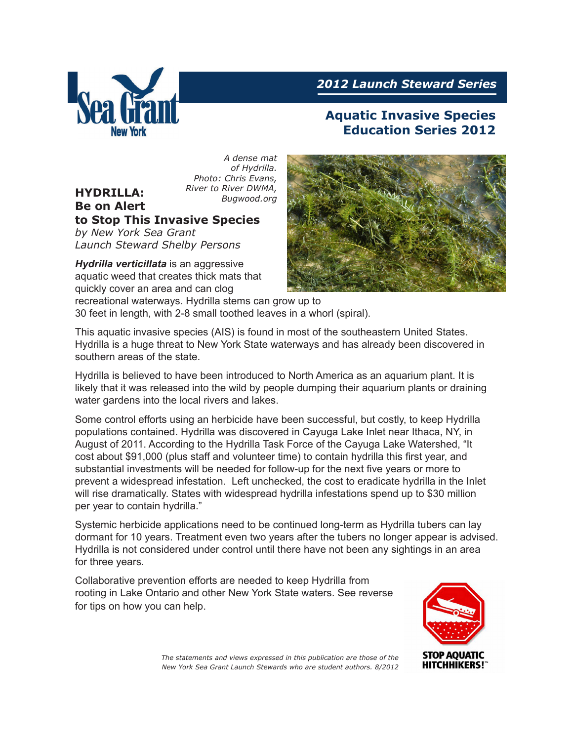

**HYDRILLA:** 

# *2012 Launch Steward Series*

# **Aquatic Invasive Species Education Series 2012**

*A dense mat of Hydrilla. Photo: Chris Evans, River to River DWMA, Bugwood.org* 

#### **Be on Alert to Stop This Invasive Species**

*by New York Sea Grant Launch Steward Shelby Persons*

*Hydrilla verticillata* is an aggressive aquatic weed that creates thick mats that quickly cover an area and can clog recreational waterways. Hydrilla stems can grow up to



30 feet in length, with 2-8 small toothed leaves in a whorl (spiral).

This aquatic invasive species (AIS) is found in most of the southeastern United States. Hydrilla is a huge threat to New York State waterways and has already been discovered in southern areas of the state.

Hydrilla is believed to have been introduced to North America as an aquarium plant. It is likely that it was released into the wild by people dumping their aquarium plants or draining water gardens into the local rivers and lakes.

Some control efforts using an herbicide have been successful, but costly, to keep Hydrilla populations contained. Hydrilla was discovered in Cayuga Lake Inlet near Ithaca, NY, in August of 2011. According to the Hydrilla Task Force of the Cayuga Lake Watershed, "It cost about \$91,000 (plus staff and volunteer time) to contain hydrilla this first year, and substantial investments will be needed for follow-up for the next five years or more to prevent a widespread infestation. Left unchecked, the cost to eradicate hydrilla in the Inlet will rise dramatically. States with widespread hydrilla infestations spend up to \$30 million per year to contain hydrilla."

Systemic herbicide applications need to be continued long-term as Hydrilla tubers can lay dormant for 10 years. Treatment even two years after the tubers no longer appear is advised. Hydrilla is not considered under control until there have not been any sightings in an area for three years.

Collaborative prevention efforts are needed to keep Hydrilla from rooting in Lake Ontario and other New York State waters. See reverse for tips on how you can help.



*The statements and views expressed in this publication are those of the New York Sea Grant Launch Stewards who are student authors. 8/2012*